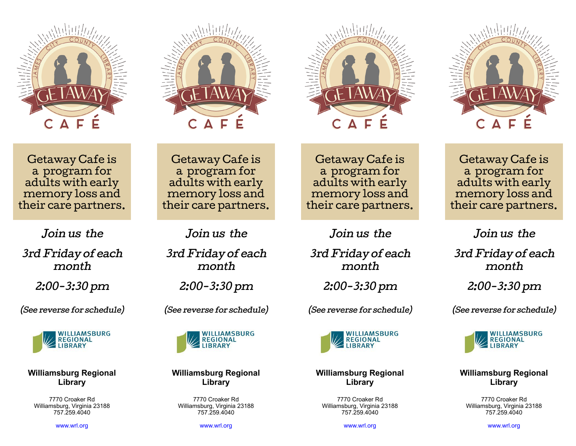







Getaway Cafe is a program for adults with early memory loss and their care partners.

Join us the 3rd Friday of each month

2:00-3:30 pm

(See reverse for schedule)



**Williamsburg Regional Library**

7770 Croaker Rd Williamsburg, Virginia 23188 757.259.4040

[www.wrl.org](https://4la.co/1RM68W)

Getaway Cafe is a program for adults with early memory loss and their care partners.

Join us the

3rd Friday of each month

2:00-3:30 pm

(See reverse for schedule)



**Williamsburg Regional Library**

7770 Croaker Rd Williamsburg, Virginia 23188 757.259.4040

[www.wrl.org](https://4la.co/1RM68W)

Getaway Cafe is a program for adults with early memory loss and their care partners.

Join us the

3rd Friday of each month

2:00-3:30 pm

(See reverse for schedule)



## **Williamsburg Regional Library**

7770 Croaker Rd Williamsburg, Virginia 23188 757.259.4040

[www.wrl.org](https://4la.co/1RM68W)

Getaway Cafe is a program for adults with early memory loss and their care partners.

Join us the

3rd Friday of each month

2:00-3:30 pm

(See reverse for schedule)



**Williamsburg Regional Library**

7770 Croaker Rd Williamsburg, Virginia 23188 757.259.4040